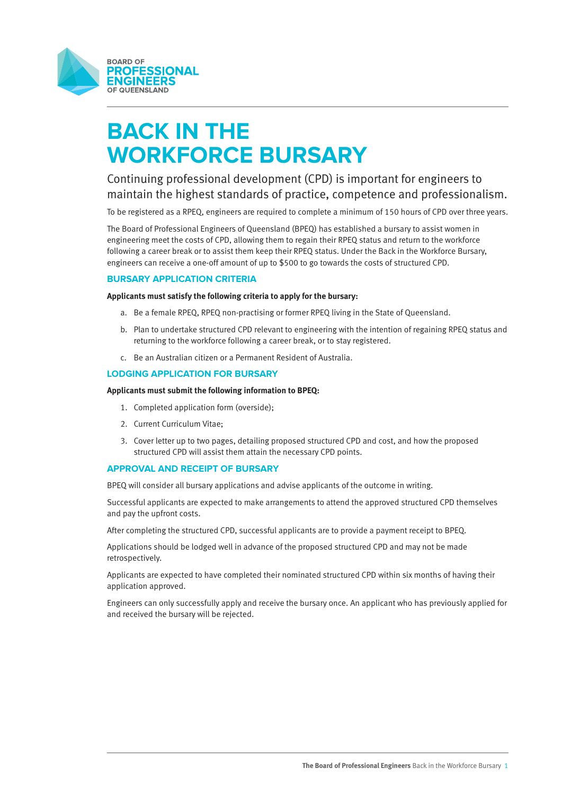

# **BACK IN THE WORKFORCE BURSARY**

# Continuing professional development (CPD) is important for engineers to maintain the highest standards of practice, competence and professionalism.

To be registered as a RPEQ, engineers are required to complete a minimum of 150 hours of CPD over three years.

The Board of Professional Engineers of Queensland (BPEQ) has established a bursary to assist women in engineering meet the costs of CPD, allowing them to regain their RPEQ status and return to the workforce following a career break or to assist them keep their RPEQ status. Under the Back in the Workforce Bursary, engineers can receive a one-off amount of up to \$500 to go towards the costs of structured CPD.

# **BURSARY APPLICATION CRITERIA**

#### **Applicants must satisfy the following criteria to apply for the bursary:**

- a. Be a female RPEQ, RPEQ non-practising or former RPEQ living in the State of Queensland.
- b. Plan to undertake structured CPD relevant to engineering with the intention of regaining RPEQ status and returning to the workforce following a career break, or to stay registered.
- c. Be an Australian citizen or a Permanent Resident of Australia.

# **LODGING APPLICATION FOR BURSARY**

#### **Applicants must submit the following information to BPEQ:**

- 1. Completed application form (overside);
- 2. Current Curriculum Vitae;
- 3. Cover letter up to two pages, detailing proposed structured CPD and cost, and how the proposed structured CPD will assist them attain the necessary CPD points.

### **APPROVAL AND RECEIPT OF BURSARY**

BPEQ will consider all bursary applications and advise applicants of the outcome in writing.

Successful applicants are expected to make arrangements to attend the approved structured CPD themselves and pay the upfront costs.

After completing the structured CPD, successful applicants are to provide a payment receipt to BPEQ.

Applications should be lodged well in advance of the proposed structured CPD and may not be made retrospectively.

Applicants are expected to have completed their nominated structured CPD within six months of having their application approved.

Engineers can only successfully apply and receive the bursary once. An applicant who has previously applied for and received the bursary will be rejected.